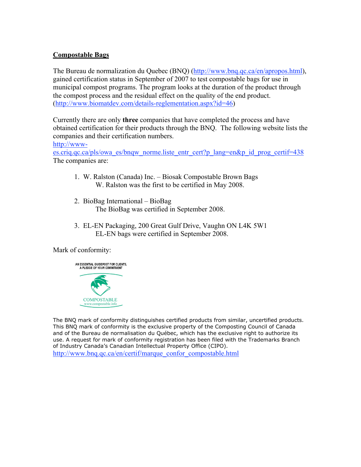## **Compostable Bags**

The Bureau de normalization du Quebec (BNQ) (http://www.bnq.qc.ca/en/apropos.html), gained certification status in September of 2007 to test compostable bags for use in municipal compost programs. The program looks at the duration of the product through the compost process and the residual effect on the quality of the end product. (http://www.biomatdev.com/details-reglementation.aspx?id=46)

Currently there are only **three** companies that have completed the process and have obtained certification for their products through the BNQ. The following website lists the companies and their certification numbers.

http://www-

es.criq.qc.ca/pls/owa\_es/bnqw\_norme.liste\_entr\_cert?p\_lang=en&p\_id\_prog\_certif=438 The companies are:

- 1. W. Ralston (Canada) Inc. Biosak Compostable Brown Bags W. Ralston was the first to be certified in May 2008.
- 2. BioBag International BioBag The BioBag was certified in September 2008.
- 3. EL-EN Packaging, 200 Great Gulf Drive, Vaughn ON L4K 5W1 EL-EN bags were certified in September 2008.

Mark of conformity:



The BNQ mark of conformity distinguishes certified products from similar, uncertified products. This BNQ mark of conformity is the exclusive property of the Composting Council of Canada and of the Bureau de normalisation du Québec, which has the exclusive right to authorize its use. A request for mark of conformity registration has been filed with the Trademarks Branch of Industry Canada's Canadian Intellectual Property Office (CIPO). http://www.bnq.qc.ca/en/certif/marque\_confor\_compostable.html